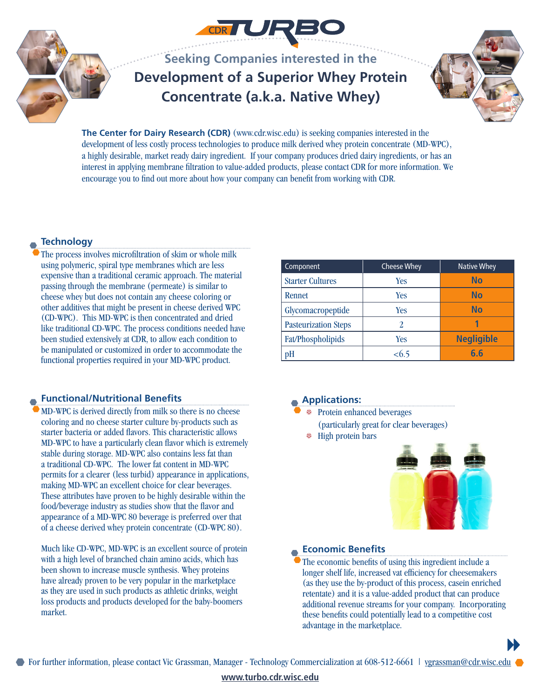

**Seeking Companies interested in the Development of a Superior Whey Protein Concentrate (a.k.a. Native Whey)**



**The Center for Dairy Research (CDR)** (www.cdr.wisc.edu) is seeking companies interested in the development of less costly process technologies to produce milk derived whey protein concentrate (MD-WPC), a highly desirable, market ready dairy ingredient. If your company produces dried dairy ingredients, or has an interest in applying membrane filtration to value-added products, please contact CDR for more information. We encourage you to find out more about how your company can benefit from working with CDR.

### **Technology**

The process involves microfiltration of skim or whole milk using polymeric, spiral type membranes which are less expensive than a traditional ceramic approach. The material passing through the membrane (permeate) is similar to cheese whey but does not contain any cheese coloring or other additives that might be present in cheese derived WPC (CD-WPC). This MD-WPC is then concentrated and dried like traditional CD-WPC. The process conditions needed have been studied extensively at CDR, to allow each condition to be manipulated or customized in order to accommodate the functional properties required in your MD-WPC product.

#### **Functional/Nutritional Benefits**

MD-WPC is derived directly from milk so there is no cheese coloring and no cheese starter culture by-products such as starter bacteria or added flavors. This characteristic allows MD-WPC to have a particularly clean flavor which is extremely stable during storage. MD-WPC also contains less fat than a traditional CD-WPC. The lower fat content in MD-WPC permits for a clearer (less turbid) appearance in applications, making MD-WPC an excellent choice for clear beverages. These attributes have proven to be highly desirable within the food/beverage industry as studies show that the flavor and appearance of a MD-WPC 80 beverage is preferred over that of a cheese derived whey protein concentrate (CD-WPC 80).

Much like CD-WPC, MD-WPC is an excellent source of protein with a high level of branched chain amino acids, which has been shown to increase muscle synthesis. Whey proteins have already proven to be very popular in the marketplace as they are used in such products as athletic drinks, weight loss products and products developed for the baby-boomers market.

| Component                   | <b>Cheese Whey</b> | <b>Native Whey</b> |
|-----------------------------|--------------------|--------------------|
| <b>Starter Cultures</b>     | Yes                | No                 |
| Rennet                      | Yes                | No                 |
| Glycomacropeptide           | Yes                | No                 |
| <b>Pasteurization Steps</b> |                    |                    |
| Fat/Phospholipids           | Yes                | <b>Negligible</b>  |
| рH                          | < 6.5              | 6.6                |

#### **Applications:**

- \* Protein enhanced beverages
	- (particularly great for clear beverages)
- E High protein bars



 $\blacktriangleright$ 

#### **Economic Benefits**

The economic benefits of using this ingredient include a longer shelf life, increased vat efficiency for cheesemakers (as they use the by-product of this process, casein enriched retentate) and it is a value-added product that can produce additional revenue streams for your company. Incorporating these benefits could potentially lead to a competitive cost advantage in the marketplace.